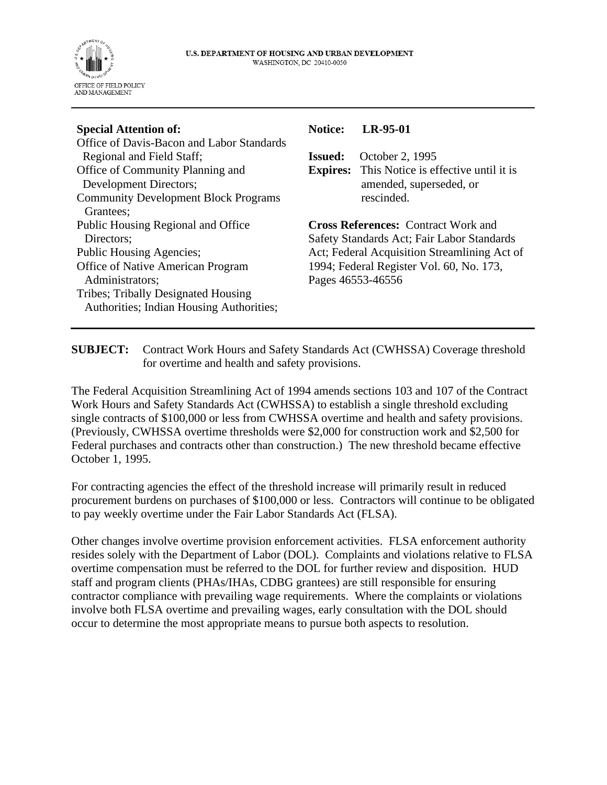

| <b>Special Attention of:</b>                | <b>Notice:</b>                               | LR-95-01                                             |
|---------------------------------------------|----------------------------------------------|------------------------------------------------------|
| Office of Davis-Bacon and Labor Standards   |                                              |                                                      |
| Regional and Field Staff;                   | <b>Issued:</b>                               | October 2, 1995                                      |
| Office of Community Planning and            |                                              | <b>Expires:</b> This Notice is effective until it is |
| Development Directors;                      |                                              | amended, superseded, or                              |
| <b>Community Development Block Programs</b> |                                              | rescinded.                                           |
| Grantees:                                   |                                              |                                                      |
| Public Housing Regional and Office          | <b>Cross References: Contract Work and</b>   |                                                      |
| Directors:                                  | Safety Standards Act; Fair Labor Standards   |                                                      |
| Public Housing Agencies;                    | Act; Federal Acquisition Streamlining Act of |                                                      |
| Office of Native American Program           | 1994; Federal Register Vol. 60, No. 173,     |                                                      |
| Administrators;                             | Pages 46553-46556                            |                                                      |
| Tribes; Tribally Designated Housing         |                                              |                                                      |
| Authorities; Indian Housing Authorities;    |                                              |                                                      |
|                                             |                                              |                                                      |

**SUBJECT:** Contract Work Hours and Safety Standards Act (CWHSSA) Coverage threshold for overtime and health and safety provisions.

The Federal Acquisition Streamlining Act of 1994 amends sections 103 and 107 of the Contract Work Hours and Safety Standards Act (CWHSSA) to establish a single threshold excluding single contracts of \$100,000 or less from CWHSSA overtime and health and safety provisions. (Previously, CWHSSA overtime thresholds were \$2,000 for construction work and \$2,500 for Federal purchases and contracts other than construction.) The new threshold became effective October 1, 1995.

For contracting agencies the effect of the threshold increase will primarily result in reduced procurement burdens on purchases of \$100,000 or less. Contractors will continue to be obligated to pay weekly overtime under the Fair Labor Standards Act (FLSA).

Other changes involve overtime provision enforcement activities. FLSA enforcement authority resides solely with the Department of Labor (DOL). Complaints and violations relative to FLSA overtime compensation must be referred to the DOL for further review and disposition. HUD staff and program clients (PHAs/IHAs, CDBG grantees) are still responsible for ensuring contractor compliance with prevailing wage requirements. Where the complaints or violations involve both FLSA overtime and prevailing wages, early consultation with the DOL should occur to determine the most appropriate means to pursue both aspects to resolution.